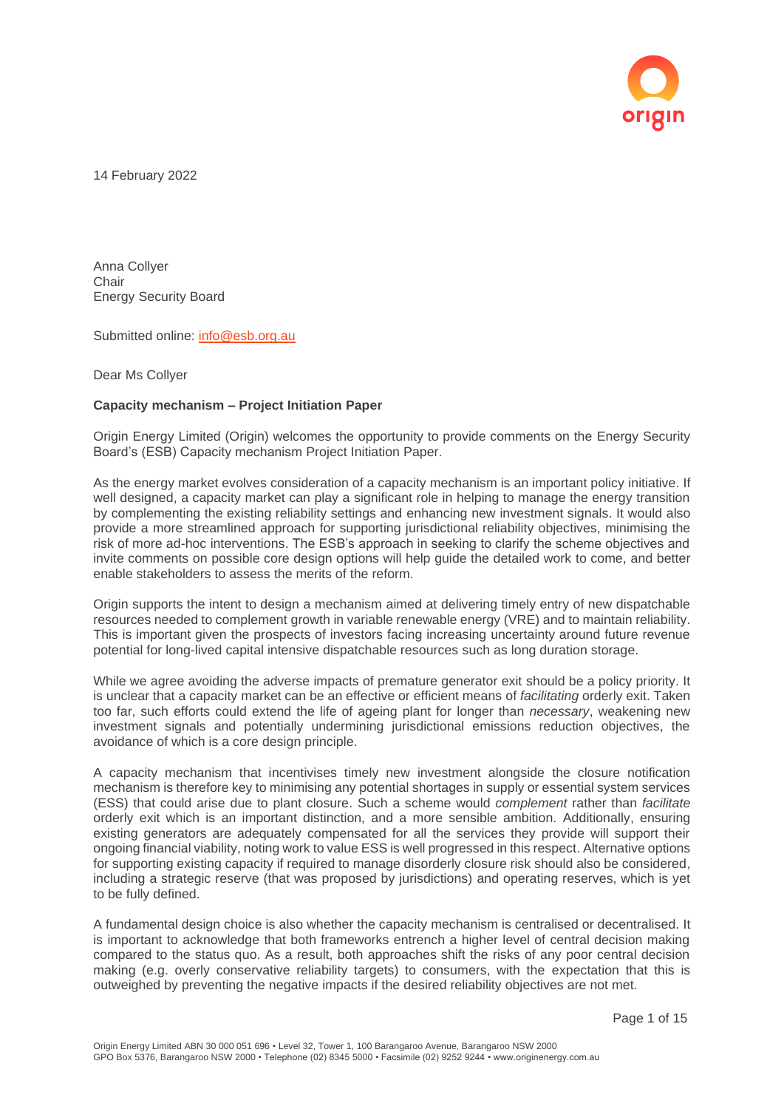

14 February 2022

Anna Collyer **Chair** Energy Security Board

Submitted online: [info@esb.org.au](mailto:info@esb.org.au)

Dear Ms Collyer

### **Capacity mechanism – Project Initiation Paper**

Origin Energy Limited (Origin) welcomes the opportunity to provide comments on the Energy Security Board's (ESB) Capacity mechanism Project Initiation Paper.

As the energy market evolves consideration of a capacity mechanism is an important policy initiative. If well designed, a capacity market can play a significant role in helping to manage the energy transition by complementing the existing reliability settings and enhancing new investment signals. It would also provide a more streamlined approach for supporting jurisdictional reliability objectives, minimising the risk of more ad-hoc interventions. The ESB's approach in seeking to clarify the scheme objectives and invite comments on possible core design options will help guide the detailed work to come, and better enable stakeholders to assess the merits of the reform.

Origin supports the intent to design a mechanism aimed at delivering timely entry of new dispatchable resources needed to complement growth in variable renewable energy (VRE) and to maintain reliability. This is important given the prospects of investors facing increasing uncertainty around future revenue potential for long-lived capital intensive dispatchable resources such as long duration storage.

While we agree avoiding the adverse impacts of premature generator exit should be a policy priority. It is unclear that a capacity market can be an effective or efficient means of *facilitating* orderly exit. Taken too far, such efforts could extend the life of ageing plant for longer than *necessary*, weakening new investment signals and potentially undermining jurisdictional emissions reduction objectives, the avoidance of which is a core design principle.

A capacity mechanism that incentivises timely new investment alongside the closure notification mechanism is therefore key to minimising any potential shortages in supply or essential system services (ESS) that could arise due to plant closure. Such a scheme would *complement* rather than *facilitate* orderly exit which is an important distinction, and a more sensible ambition. Additionally, ensuring existing generators are adequately compensated for all the services they provide will support their ongoing financial viability, noting work to value ESS is well progressed in this respect. Alternative options for supporting existing capacity if required to manage disorderly closure risk should also be considered, including a strategic reserve (that was proposed by jurisdictions) and operating reserves, which is yet to be fully defined.

A fundamental design choice is also whether the capacity mechanism is centralised or decentralised. It is important to acknowledge that both frameworks entrench a higher level of central decision making compared to the status quo. As a result, both approaches shift the risks of any poor central decision making (e.g. overly conservative reliability targets) to consumers, with the expectation that this is outweighed by preventing the negative impacts if the desired reliability objectives are not met.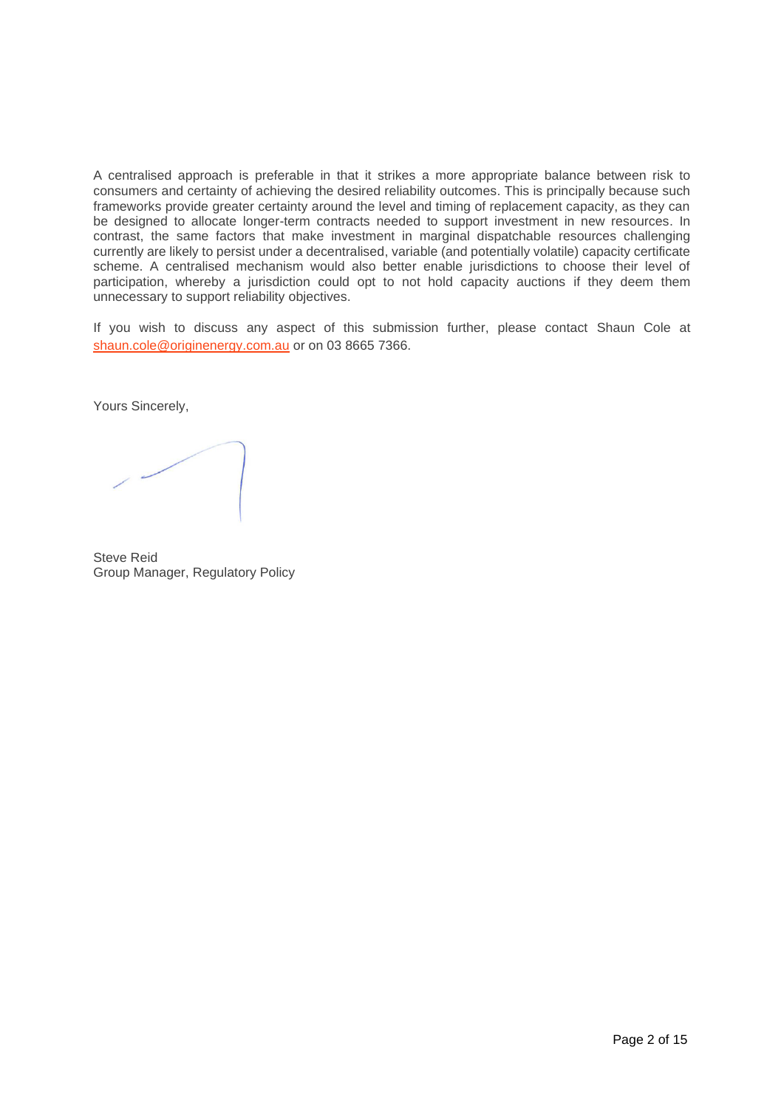A centralised approach is preferable in that it strikes a more appropriate balance between risk to consumers and certainty of achieving the desired reliability outcomes. This is principally because such frameworks provide greater certainty around the level and timing of replacement capacity, as they can be designed to allocate longer-term contracts needed to support investment in new resources. In contrast, the same factors that make investment in marginal dispatchable resources challenging currently are likely to persist under a decentralised, variable (and potentially volatile) capacity certificate scheme. A centralised mechanism would also better enable jurisdictions to choose their level of participation, whereby a jurisdiction could opt to not hold capacity auctions if they deem them unnecessary to support reliability objectives.

If you wish to discuss any aspect of this submission further, please contact Shaun Cole at [shaun.cole@originenergy.com.au](mailto:shaun.cole@originenergy.com.au) or on 03 8665 7366.

Yours Sincerely,

Steve Reid Group Manager, Regulatory Policy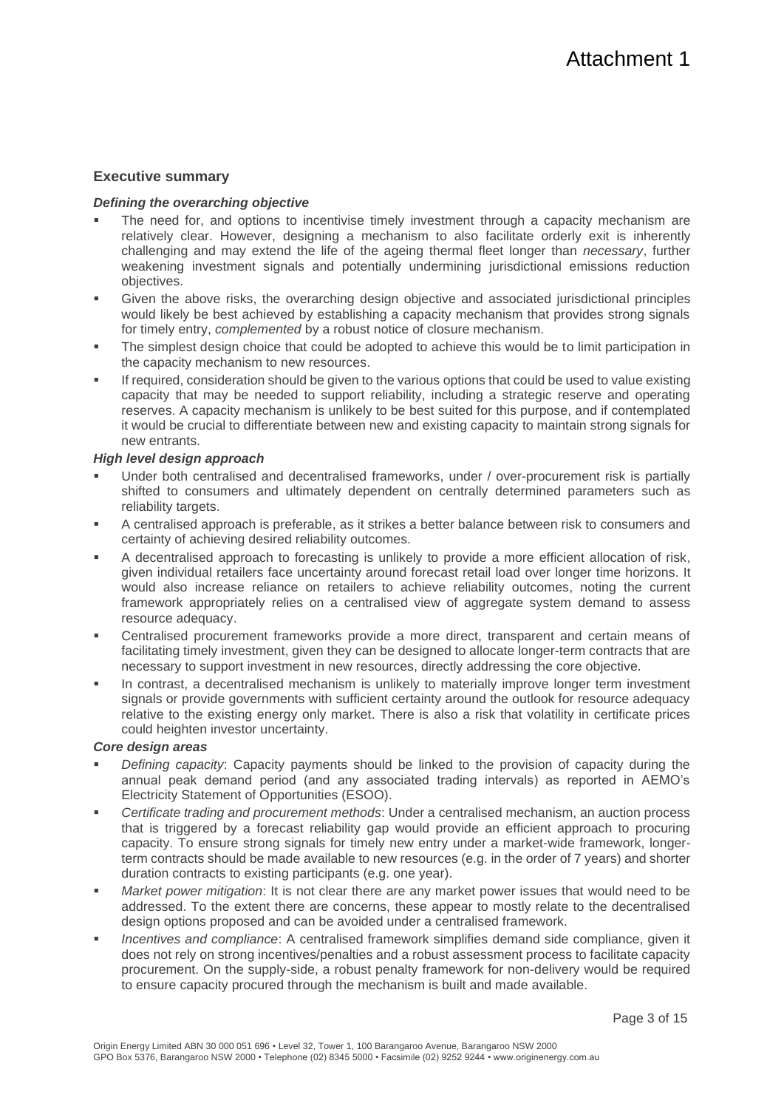# **Executive summary**

## *Defining the overarching objective*

- The need for, and options to incentivise timely investment through a capacity mechanism are relatively clear. However, designing a mechanism to also facilitate orderly exit is inherently challenging and may extend the life of the ageing thermal fleet longer than *necessary*, further weakening investment signals and potentially undermining jurisdictional emissions reduction objectives.
- Given the above risks, the overarching design objective and associated jurisdictional principles would likely be best achieved by establishing a capacity mechanism that provides strong signals for timely entry, *complemented* by a robust notice of closure mechanism.
- The simplest design choice that could be adopted to achieve this would be to limit participation in the capacity mechanism to new resources.
- If required, consideration should be given to the various options that could be used to value existing capacity that may be needed to support reliability, including a strategic reserve and operating reserves. A capacity mechanism is unlikely to be best suited for this purpose, and if contemplated it would be crucial to differentiate between new and existing capacity to maintain strong signals for new entrants.

## *High level design approach*

- Under both centralised and decentralised frameworks, under / over-procurement risk is partially shifted to consumers and ultimately dependent on centrally determined parameters such as reliability targets.
- A centralised approach is preferable, as it strikes a better balance between risk to consumers and certainty of achieving desired reliability outcomes.
- A decentralised approach to forecasting is unlikely to provide a more efficient allocation of risk, given individual retailers face uncertainty around forecast retail load over longer time horizons. It would also increase reliance on retailers to achieve reliability outcomes, noting the current framework appropriately relies on a centralised view of aggregate system demand to assess resource adequacy.
- Centralised procurement frameworks provide a more direct, transparent and certain means of facilitating timely investment, given they can be designed to allocate longer-term contracts that are necessary to support investment in new resources, directly addressing the core objective.
- In contrast, a decentralised mechanism is unlikely to materially improve longer term investment signals or provide governments with sufficient certainty around the outlook for resource adequacy relative to the existing energy only market. There is also a risk that volatility in certificate prices could heighten investor uncertainty.

### *Core design areas*

- Defining capacity: Capacity payments should be linked to the provision of capacity during the annual peak demand period (and any associated trading intervals) as reported in AEMO's Electricity Statement of Opportunities (ESOO).
- *Certificate trading and procurement methods*: Under a centralised mechanism, an auction process that is triggered by a forecast reliability gap would provide an efficient approach to procuring capacity. To ensure strong signals for timely new entry under a market-wide framework, longerterm contracts should be made available to new resources (e.g. in the order of 7 years) and shorter duration contracts to existing participants (e.g. one year).
- *Market power mitigation*: It is not clear there are any market power issues that would need to be addressed. To the extent there are concerns, these appear to mostly relate to the decentralised design options proposed and can be avoided under a centralised framework.
- *Incentives and compliance*: A centralised framework simplifies demand side compliance, given it does not rely on strong incentives/penalties and a robust assessment process to facilitate capacity procurement. On the supply-side, a robust penalty framework for non-delivery would be required to ensure capacity procured through the mechanism is built and made available.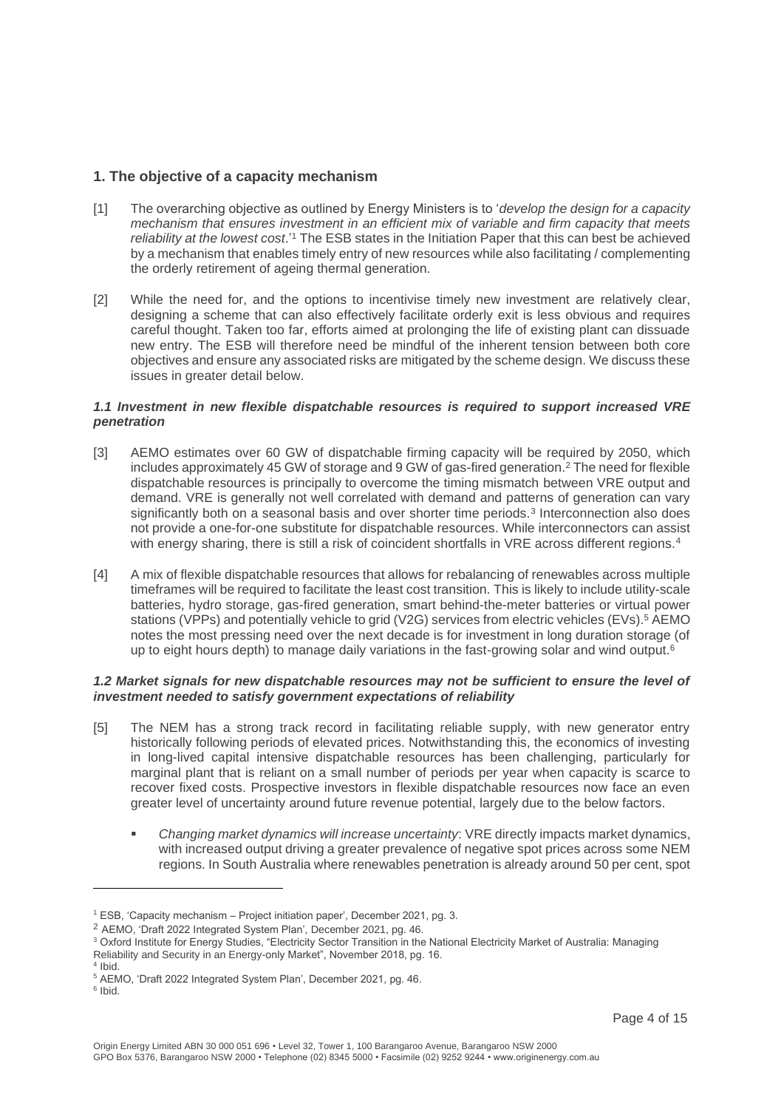# **1. The objective of a capacity mechanism**

- [1] The overarching objective as outlined by Energy Ministers is to '*develop the design for a capacity mechanism that ensures investment in an efficient mix of variable and firm capacity that meets*  reliability at the lowest cost.'<sup>1</sup> The ESB states in the Initiation Paper that this can best be achieved by a mechanism that enables timely entry of new resources while also facilitating / complementing the orderly retirement of ageing thermal generation.
- [2] While the need for, and the options to incentivise timely new investment are relatively clear, designing a scheme that can also effectively facilitate orderly exit is less obvious and requires careful thought. Taken too far, efforts aimed at prolonging the life of existing plant can dissuade new entry. The ESB will therefore need be mindful of the inherent tension between both core objectives and ensure any associated risks are mitigated by the scheme design. We discuss these issues in greater detail below.

## *1.1 Investment in new flexible dispatchable resources is required to support increased VRE penetration*

- [3] AEMO estimates over 60 GW of dispatchable firming capacity will be required by 2050, which includes approximately 45 GW of storage and 9 GW of gas-fired generation.<sup>2</sup> The need for flexible dispatchable resources is principally to overcome the timing mismatch between VRE output and demand. VRE is generally not well correlated with demand and patterns of generation can vary significantly both on a seasonal basis and over shorter time periods.<sup>3</sup> Interconnection also does not provide a one-for-one substitute for dispatchable resources. While interconnectors can assist with energy sharing, there is still a risk of coincident shortfalls in VRE across different regions.<sup>4</sup>
- [4] A mix of flexible dispatchable resources that allows for rebalancing of renewables across multiple timeframes will be required to facilitate the least cost transition. This is likely to include utility-scale batteries, hydro storage, gas-fired generation, smart behind-the-meter batteries or virtual power stations (VPPs) and potentially vehicle to grid (V2G) services from electric vehicles (EVs). <sup>5</sup> AEMO notes the most pressing need over the next decade is for investment in long duration storage (of up to eight hours depth) to manage daily variations in the fast-growing solar and wind output.<sup>6</sup>

## *1.2 Market signals for new dispatchable resources may not be sufficient to ensure the level of investment needed to satisfy government expectations of reliability*

- [5] The NEM has a strong track record in facilitating reliable supply, with new generator entry historically following periods of elevated prices. Notwithstanding this, the economics of investing in long-lived capital intensive dispatchable resources has been challenging, particularly for marginal plant that is reliant on a small number of periods per year when capacity is scarce to recover fixed costs. Prospective investors in flexible dispatchable resources now face an even greater level of uncertainty around future revenue potential, largely due to the below factors.
	- *Changing market dynamics will increase uncertainty*: VRE directly impacts market dynamics, with increased output driving a greater prevalence of negative spot prices across some NEM regions. In South Australia where renewables penetration is already around 50 per cent, spot

<sup>6</sup> Ibid.

<sup>1</sup> ESB, 'Capacity mechanism – Project initiation paper', December 2021, pg. 3.

<sup>2</sup> AEMO, 'Draft 2022 Integrated System Plan', December 2021, pg. 46.

<sup>3</sup> Oxford Institute for Energy Studies, "Electricity Sector Transition in the National Electricity Market of Australia: Managing Reliability and Security in an Energy-only Market", November 2018, pg. 16.

<sup>4</sup> Ibid. <sup>5</sup> AEMO, 'Draft 2022 Integrated System Plan', December 2021, pg. 46.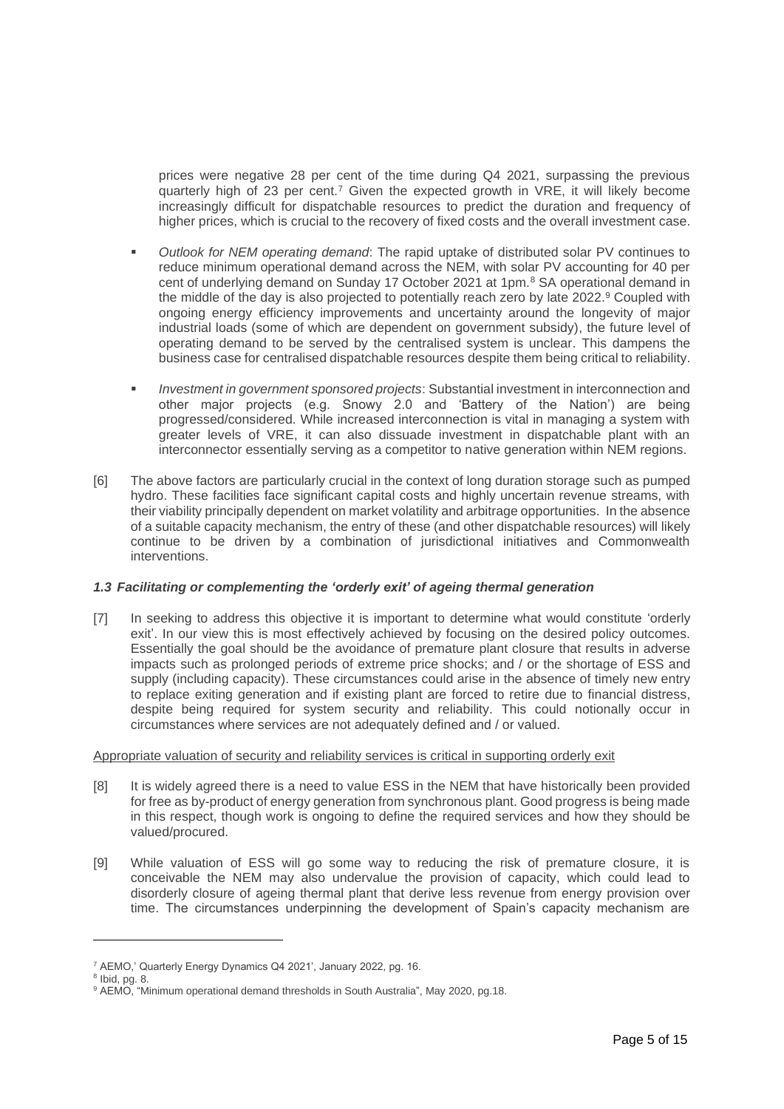prices were negative 28 per cent of the time during Q4 2021, surpassing the previous quarterly high of 23 per cent.<sup>7</sup> Given the expected growth in VRE, it will likely become increasingly difficult for dispatchable resources to predict the duration and frequency of higher prices, which is crucial to the recovery of fixed costs and the overall investment case.

- *Outlook for NEM operating demand*: The rapid uptake of distributed solar PV continues to reduce minimum operational demand across the NEM, with solar PV accounting for 40 per cent of underlying demand on Sunday 17 October 2021 at 1pm.<sup>8</sup> SA operational demand in the middle of the day is also projected to potentially reach zero by late 2022.<sup>9</sup> Coupled with ongoing energy efficiency improvements and uncertainty around the longevity of major industrial loads (some of which are dependent on government subsidy), the future level of operating demand to be served by the centralised system is unclear. This dampens the business case for centralised dispatchable resources despite them being critical to reliability.
- *Investment in government sponsored projects*: Substantial investment in interconnection and other major projects (e.g. Snowy 2.0 and 'Battery of the Nation') are being progressed/considered. While increased interconnection is vital in managing a system with greater levels of VRE, it can also dissuade investment in dispatchable plant with an interconnector essentially serving as a competitor to native generation within NEM regions.
- [6] The above factors are particularly crucial in the context of long duration storage such as pumped hydro. These facilities face significant capital costs and highly uncertain revenue streams, with their viability principally dependent on market volatility and arbitrage opportunities. In the absence of a suitable capacity mechanism, the entry of these (and other dispatchable resources) will likely continue to be driven by a combination of jurisdictional initiatives and Commonwealth interventions.

## *1.3 Facilitating or complementing the 'orderly exit' of ageing thermal generation*

[7] In seeking to address this objective it is important to determine what would constitute 'orderly exit'. In our view this is most effectively achieved by focusing on the desired policy outcomes. Essentially the goal should be the avoidance of premature plant closure that results in adverse impacts such as prolonged periods of extreme price shocks; and / or the shortage of ESS and supply (including capacity). These circumstances could arise in the absence of timely new entry to replace exiting generation and if existing plant are forced to retire due to financial distress, despite being required for system security and reliability. This could notionally occur in circumstances where services are not adequately defined and / or valued.

## Appropriate valuation of security and reliability services is critical in supporting orderly exit

- [8] It is widely agreed there is a need to value ESS in the NEM that have historically been provided for free as by-product of energy generation from synchronous plant. Good progress is being made in this respect, though work is ongoing to define the required services and how they should be valued/procured.
- [9] While valuation of ESS will go some way to reducing the risk of premature closure, it is conceivable the NEM may also undervalue the provision of capacity, which could lead to disorderly closure of ageing thermal plant that derive less revenue from energy provision over time. The circumstances underpinning the development of Spain's capacity mechanism are

<sup>7</sup> AEMO,' Quarterly Energy Dynamics Q4 2021', January 2022, pg. 16.

 $8$  Ibid, pg. 8.

<sup>&</sup>lt;sup>9</sup> AEMO, "Minimum operational demand thresholds in South Australia", May 2020, pg.18.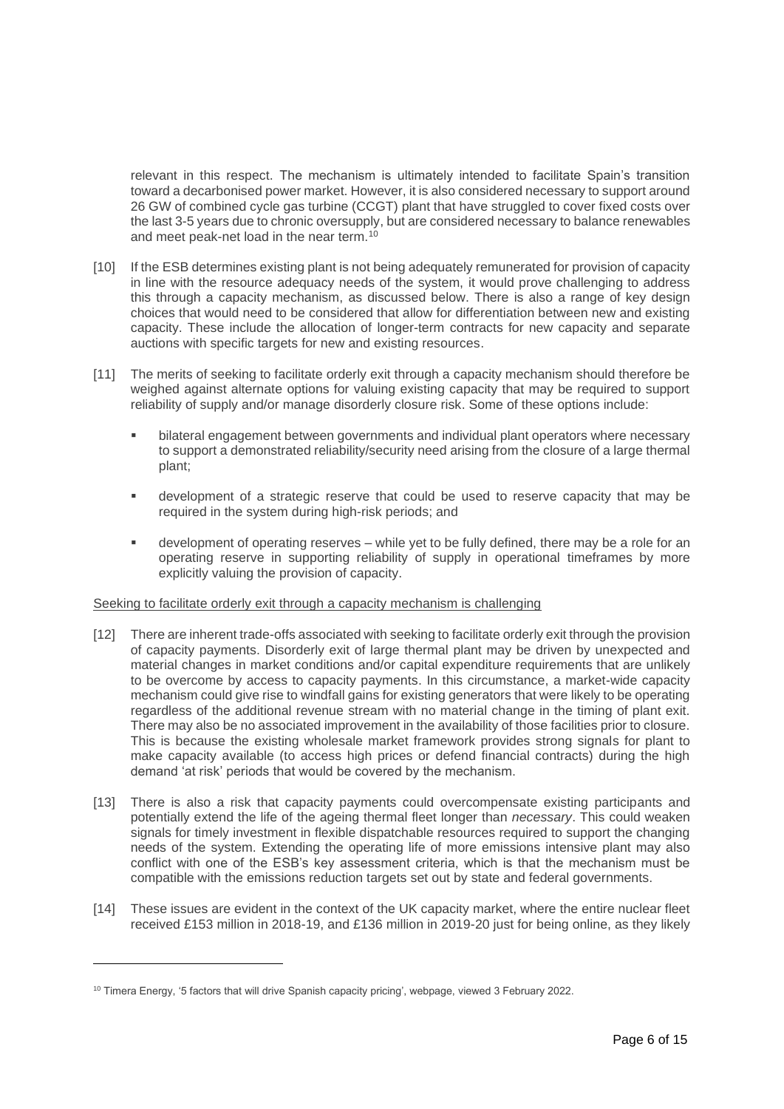relevant in this respect. The mechanism is ultimately intended to facilitate Spain's transition toward a decarbonised power market. However, it is also considered necessary to support around 26 GW of combined cycle gas turbine (CCGT) plant that have struggled to cover fixed costs over the last 3-5 years due to chronic oversupply, but are considered necessary to balance renewables and meet peak-net load in the near term.<sup>10</sup>

- [10] If the ESB determines existing plant is not being adequately remunerated for provision of capacity in line with the resource adequacy needs of the system, it would prove challenging to address this through a capacity mechanism, as discussed below. There is also a range of key design choices that would need to be considered that allow for differentiation between new and existing capacity. These include the allocation of longer-term contracts for new capacity and separate auctions with specific targets for new and existing resources.
- [11] The merits of seeking to facilitate orderly exit through a capacity mechanism should therefore be weighed against alternate options for valuing existing capacity that may be required to support reliability of supply and/or manage disorderly closure risk. Some of these options include:
	- bilateral engagement between governments and individual plant operators where necessary to support a demonstrated reliability/security need arising from the closure of a large thermal plant;
	- development of a strategic reserve that could be used to reserve capacity that may be required in the system during high-risk periods; and
	- **•** development of operating reserves while yet to be fully defined, there may be a role for an operating reserve in supporting reliability of supply in operational timeframes by more explicitly valuing the provision of capacity.

### Seeking to facilitate orderly exit through a capacity mechanism is challenging

- [12] There are inherent trade-offs associated with seeking to facilitate orderly exit through the provision of capacity payments. Disorderly exit of large thermal plant may be driven by unexpected and material changes in market conditions and/or capital expenditure requirements that are unlikely to be overcome by access to capacity payments. In this circumstance, a market-wide capacity mechanism could give rise to windfall gains for existing generators that were likely to be operating regardless of the additional revenue stream with no material change in the timing of plant exit. There may also be no associated improvement in the availability of those facilities prior to closure. This is because the existing wholesale market framework provides strong signals for plant to make capacity available (to access high prices or defend financial contracts) during the high demand 'at risk' periods that would be covered by the mechanism.
- [13] There is also a risk that capacity payments could overcompensate existing participants and potentially extend the life of the ageing thermal fleet longer than *necessary*. This could weaken signals for timely investment in flexible dispatchable resources required to support the changing needs of the system. Extending the operating life of more emissions intensive plant may also conflict with one of the ESB's key assessment criteria, which is that the mechanism must be compatible with the emissions reduction targets set out by state and federal governments.
- [14] These issues are evident in the context of the UK capacity market, where the entire nuclear fleet received £153 million in 2018-19, and £136 million in 2019-20 just for being online, as they likely

<sup>&</sup>lt;sup>10</sup> Timera Energy, '5 factors that will drive Spanish capacity pricing', webpage, viewed 3 February 2022.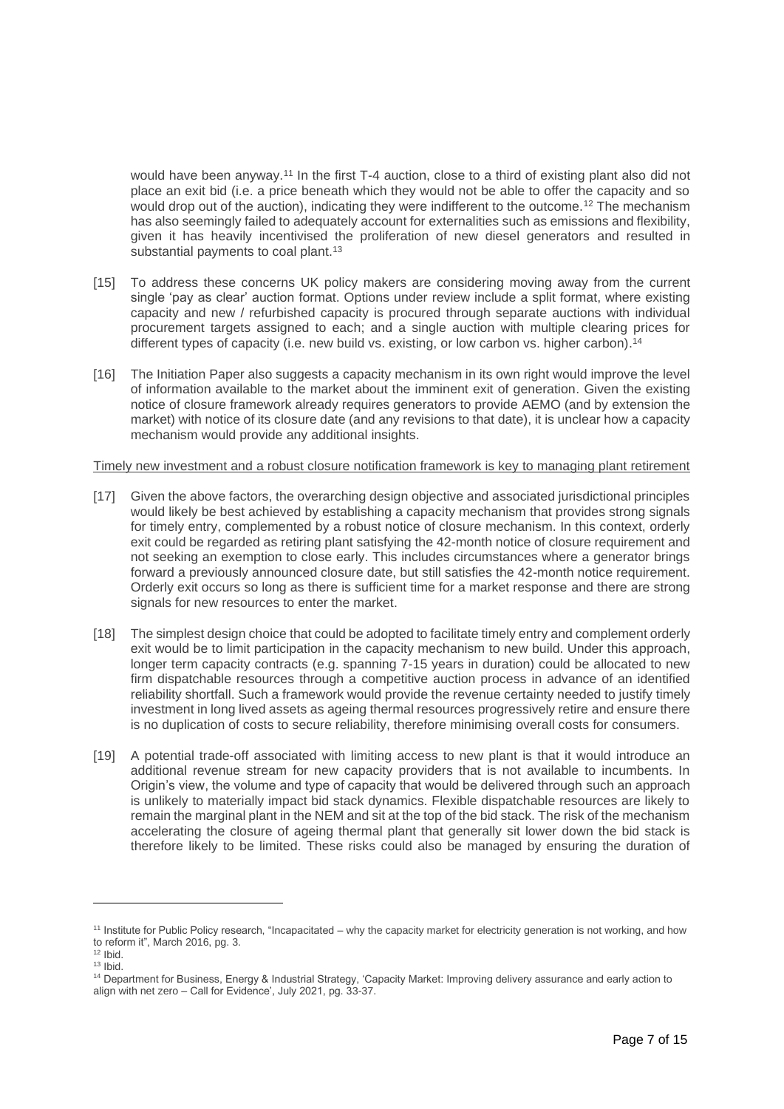would have been anyway.<sup>11</sup> In the first T-4 auction, close to a third of existing plant also did not place an exit bid (i.e. a price beneath which they would not be able to offer the capacity and so would drop out of the auction), indicating they were indifferent to the outcome.<sup>12</sup> The mechanism has also seemingly failed to adequately account for externalities such as emissions and flexibility, given it has heavily incentivised the proliferation of new diesel generators and resulted in substantial payments to coal plant.<sup>13</sup>

- [15] To address these concerns UK policy makers are considering moving away from the current single 'pay as clear' auction format. Options under review include a split format, where existing capacity and new / refurbished capacity is procured through separate auctions with individual procurement targets assigned to each; and a single auction with multiple clearing prices for different types of capacity (i.e. new build vs. existing, or low carbon vs. higher carbon).<sup>14</sup>
- [16] The Initiation Paper also suggests a capacity mechanism in its own right would improve the level of information available to the market about the imminent exit of generation. Given the existing notice of closure framework already requires generators to provide AEMO (and by extension the market) with notice of its closure date (and any revisions to that date), it is unclear how a capacity mechanism would provide any additional insights.

### Timely new investment and a robust closure notification framework is key to managing plant retirement

- [17] Given the above factors, the overarching design objective and associated jurisdictional principles would likely be best achieved by establishing a capacity mechanism that provides strong signals for timely entry, complemented by a robust notice of closure mechanism. In this context, orderly exit could be regarded as retiring plant satisfying the 42-month notice of closure requirement and not seeking an exemption to close early. This includes circumstances where a generator brings forward a previously announced closure date, but still satisfies the 42-month notice requirement. Orderly exit occurs so long as there is sufficient time for a market response and there are strong signals for new resources to enter the market.
- [18] The simplest design choice that could be adopted to facilitate timely entry and complement orderly exit would be to limit participation in the capacity mechanism to new build. Under this approach, longer term capacity contracts (e.g. spanning 7-15 years in duration) could be allocated to new firm dispatchable resources through a competitive auction process in advance of an identified reliability shortfall. Such a framework would provide the revenue certainty needed to justify timely investment in long lived assets as ageing thermal resources progressively retire and ensure there is no duplication of costs to secure reliability, therefore minimising overall costs for consumers.
- [19] A potential trade-off associated with limiting access to new plant is that it would introduce an additional revenue stream for new capacity providers that is not available to incumbents. In Origin's view, the volume and type of capacity that would be delivered through such an approach is unlikely to materially impact bid stack dynamics. Flexible dispatchable resources are likely to remain the marginal plant in the NEM and sit at the top of the bid stack. The risk of the mechanism accelerating the closure of ageing thermal plant that generally sit lower down the bid stack is therefore likely to be limited. These risks could also be managed by ensuring the duration of

<sup>11</sup> Institute for Public Policy research, "Incapacitated – why the capacity market for electricity generation is not working, and how to reform it", March 2016, pg. 3.

 $12$  Ibid.

 $13$  Ibid.

<sup>14</sup> Department for Business, Energy & Industrial Strategy, 'Capacity Market: Improving delivery assurance and early action to align with net zero – Call for Evidence', July 2021, pg. 33-37.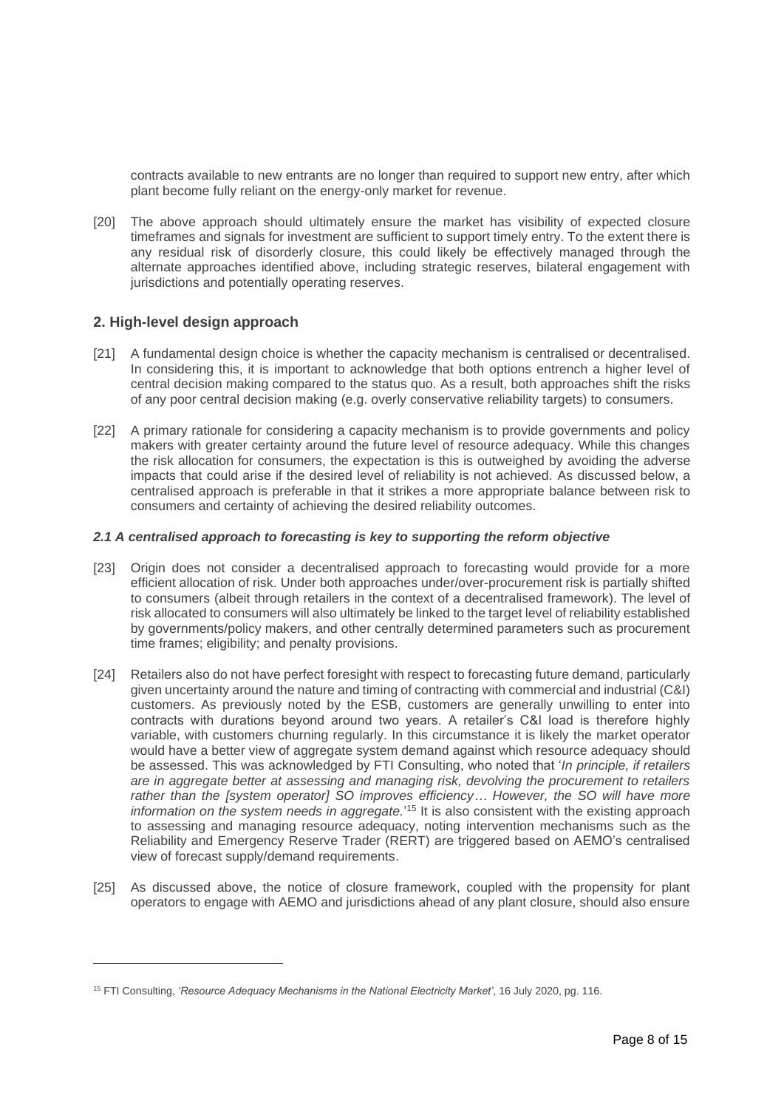contracts available to new entrants are no longer than required to support new entry, after which plant become fully reliant on the energy-only market for revenue.

[20] The above approach should ultimately ensure the market has visibility of expected closure timeframes and signals for investment are sufficient to support timely entry. To the extent there is any residual risk of disorderly closure, this could likely be effectively managed through the alternate approaches identified above, including strategic reserves, bilateral engagement with jurisdictions and potentially operating reserves.

## **2. High-level design approach**

- [21] A fundamental design choice is whether the capacity mechanism is centralised or decentralised. In considering this, it is important to acknowledge that both options entrench a higher level of central decision making compared to the status quo. As a result, both approaches shift the risks of any poor central decision making (e.g. overly conservative reliability targets) to consumers.
- [22] A primary rationale for considering a capacity mechanism is to provide governments and policy makers with greater certainty around the future level of resource adequacy. While this changes the risk allocation for consumers, the expectation is this is outweighed by avoiding the adverse impacts that could arise if the desired level of reliability is not achieved. As discussed below, a centralised approach is preferable in that it strikes a more appropriate balance between risk to consumers and certainty of achieving the desired reliability outcomes.

## *2.1 A centralised approach to forecasting is key to supporting the reform objective*

- [23] Origin does not consider a decentralised approach to forecasting would provide for a more efficient allocation of risk. Under both approaches under/over-procurement risk is partially shifted to consumers (albeit through retailers in the context of a decentralised framework). The level of risk allocated to consumers will also ultimately be linked to the target level of reliability established by governments/policy makers, and other centrally determined parameters such as procurement time frames; eligibility; and penalty provisions.
- [24] Retailers also do not have perfect foresight with respect to forecasting future demand, particularly given uncertainty around the nature and timing of contracting with commercial and industrial (C&I) customers. As previously noted by the ESB, customers are generally unwilling to enter into contracts with durations beyond around two years. A retailer's C&I load is therefore highly variable, with customers churning regularly. In this circumstance it is likely the market operator would have a better view of aggregate system demand against which resource adequacy should be assessed. This was acknowledged by FTI Consulting, who noted that '*In principle, if retailers are in aggregate better at assessing and managing risk, devolving the procurement to retailers rather than the [system operator] SO improves efficiency… However, the SO will have more*  information on the system needs in aggregate.<sup>'15</sup> It is also consistent with the existing approach to assessing and managing resource adequacy, noting intervention mechanisms such as the Reliability and Emergency Reserve Trader (RERT) are triggered based on AEMO's centralised view of forecast supply/demand requirements.
- [25] As discussed above, the notice of closure framework, coupled with the propensity for plant operators to engage with AEMO and jurisdictions ahead of any plant closure, should also ensure

<sup>15</sup> FTI Consulting, *'Resource Adequacy Mechanisms in the National Electricity Market'*, 16 July 2020, pg. 116.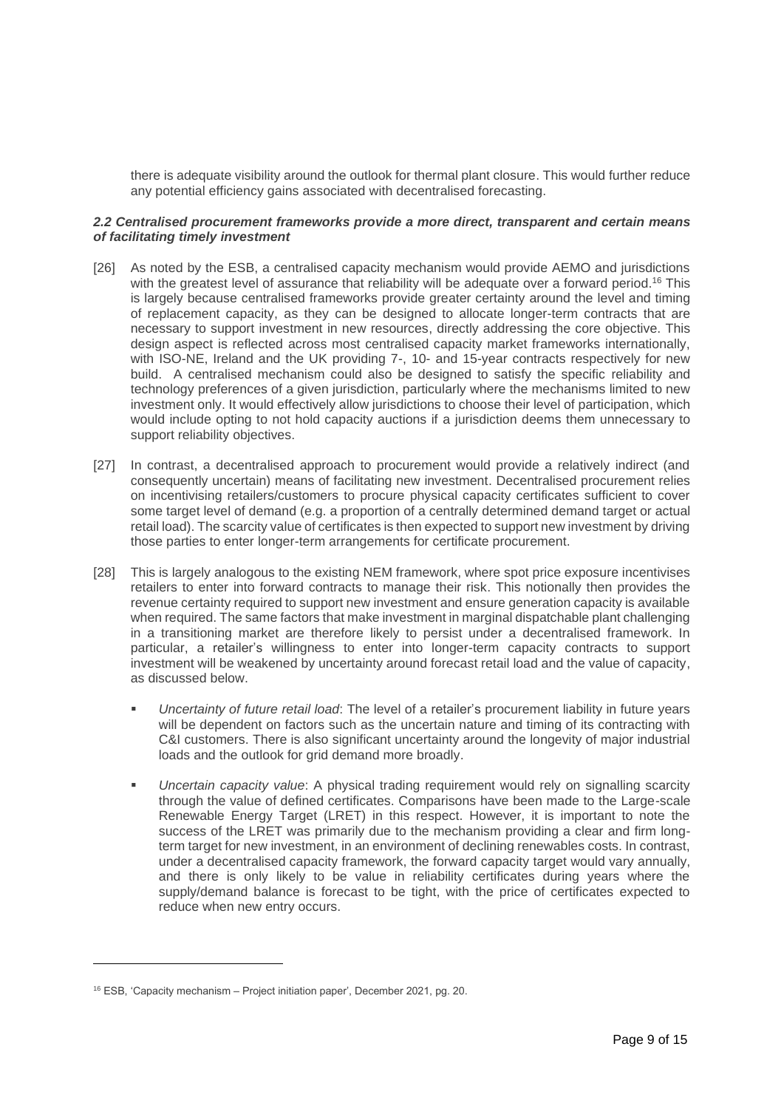there is adequate visibility around the outlook for thermal plant closure. This would further reduce any potential efficiency gains associated with decentralised forecasting.

## *2.2 Centralised procurement frameworks provide a more direct, transparent and certain means of facilitating timely investment*

- [26] As noted by the ESB, a centralised capacity mechanism would provide AEMO and jurisdictions with the greatest level of assurance that reliability will be adequate over a forward period.<sup>16</sup> This is largely because centralised frameworks provide greater certainty around the level and timing of replacement capacity, as they can be designed to allocate longer-term contracts that are necessary to support investment in new resources, directly addressing the core objective. This design aspect is reflected across most centralised capacity market frameworks internationally, with ISO-NE, Ireland and the UK providing 7-, 10- and 15-year contracts respectively for new build. A centralised mechanism could also be designed to satisfy the specific reliability and technology preferences of a given jurisdiction, particularly where the mechanisms limited to new investment only. It would effectively allow jurisdictions to choose their level of participation, which would include opting to not hold capacity auctions if a jurisdiction deems them unnecessary to support reliability objectives.
- [27] In contrast, a decentralised approach to procurement would provide a relatively indirect (and consequently uncertain) means of facilitating new investment. Decentralised procurement relies on incentivising retailers/customers to procure physical capacity certificates sufficient to cover some target level of demand (e.g. a proportion of a centrally determined demand target or actual retail load). The scarcity value of certificates is then expected to support new investment by driving those parties to enter longer-term arrangements for certificate procurement.
- [28] This is largely analogous to the existing NEM framework, where spot price exposure incentivises retailers to enter into forward contracts to manage their risk. This notionally then provides the revenue certainty required to support new investment and ensure generation capacity is available when required. The same factors that make investment in marginal dispatchable plant challenging in a transitioning market are therefore likely to persist under a decentralised framework. In particular, a retailer's willingness to enter into longer-term capacity contracts to support investment will be weakened by uncertainty around forecast retail load and the value of capacity, as discussed below.
	- *Uncertainty of future retail load*: The level of a retailer's procurement liability in future years will be dependent on factors such as the uncertain nature and timing of its contracting with C&I customers. There is also significant uncertainty around the longevity of major industrial loads and the outlook for grid demand more broadly.
	- Uncertain capacity value: A physical trading requirement would rely on signalling scarcity through the value of defined certificates. Comparisons have been made to the Large-scale Renewable Energy Target (LRET) in this respect. However, it is important to note the success of the LRET was primarily due to the mechanism providing a clear and firm longterm target for new investment, in an environment of declining renewables costs. In contrast, under a decentralised capacity framework, the forward capacity target would vary annually, and there is only likely to be value in reliability certificates during years where the supply/demand balance is forecast to be tight, with the price of certificates expected to reduce when new entry occurs.

<sup>16</sup> ESB, 'Capacity mechanism – Project initiation paper', December 2021, pg. 20.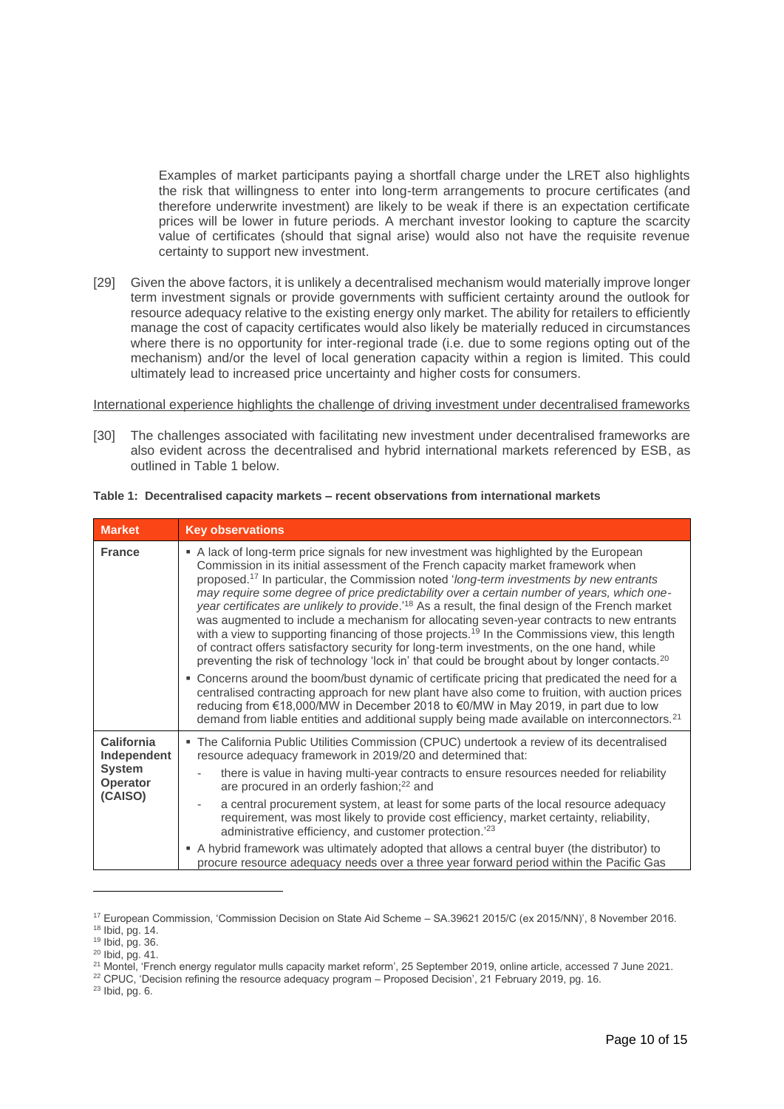Examples of market participants paying a shortfall charge under the LRET also highlights the risk that willingness to enter into long-term arrangements to procure certificates (and therefore underwrite investment) are likely to be weak if there is an expectation certificate prices will be lower in future periods. A merchant investor looking to capture the scarcity value of certificates (should that signal arise) would also not have the requisite revenue certainty to support new investment.

[29] Given the above factors, it is unlikely a decentralised mechanism would materially improve longer term investment signals or provide governments with sufficient certainty around the outlook for resource adequacy relative to the existing energy only market. The ability for retailers to efficiently manage the cost of capacity certificates would also likely be materially reduced in circumstances where there is no opportunity for inter-regional trade (i.e. due to some regions opting out of the mechanism) and/or the level of local generation capacity within a region is limited. This could ultimately lead to increased price uncertainty and higher costs for consumers.

International experience highlights the challenge of driving investment under decentralised frameworks

[30] The challenges associated with facilitating new investment under decentralised frameworks are also evident across the decentralised and hybrid international markets referenced by ESB, as outlined in Table 1 below.

| <b>Market</b>                               | <b>Key observations</b>                                                                                                                                                                                                                                                                                                                                                                                                                                                                                                                                                                                                                                                                                                                                                                                                                                                                                                                                                                                                                                                                                                                                                                                                                                                                                                |
|---------------------------------------------|------------------------------------------------------------------------------------------------------------------------------------------------------------------------------------------------------------------------------------------------------------------------------------------------------------------------------------------------------------------------------------------------------------------------------------------------------------------------------------------------------------------------------------------------------------------------------------------------------------------------------------------------------------------------------------------------------------------------------------------------------------------------------------------------------------------------------------------------------------------------------------------------------------------------------------------------------------------------------------------------------------------------------------------------------------------------------------------------------------------------------------------------------------------------------------------------------------------------------------------------------------------------------------------------------------------------|
| <b>France</b>                               | A lack of long-term price signals for new investment was highlighted by the European<br>Commission in its initial assessment of the French capacity market framework when<br>proposed. <sup>17</sup> In particular, the Commission noted 'long-term investments by new entrants<br>may require some degree of price predictability over a certain number of years, which one-<br>year certificates are unlikely to provide.' <sup>18</sup> As a result, the final design of the French market<br>was augmented to include a mechanism for allocating seven-year contracts to new entrants<br>with a view to supporting financing of those projects. <sup>19</sup> In the Commissions view, this length<br>of contract offers satisfactory security for long-term investments, on the one hand, while<br>preventing the risk of technology 'lock in' that could be brought about by longer contacts. <sup>20</sup><br>• Concerns around the boom/bust dynamic of certificate pricing that predicated the need for a<br>centralised contracting approach for new plant have also come to fruition, with auction prices<br>reducing from €18,000/MW in December 2018 to €0/MW in May 2019, in part due to low<br>demand from liable entities and additional supply being made available on interconnectors. <sup>21</sup> |
| <b>California</b><br>Independent            | The California Public Utilities Commission (CPUC) undertook a review of its decentralised<br>resource adequacy framework in 2019/20 and determined that:                                                                                                                                                                                                                                                                                                                                                                                                                                                                                                                                                                                                                                                                                                                                                                                                                                                                                                                                                                                                                                                                                                                                                               |
| <b>System</b><br><b>Operator</b><br>(CAISO) | there is value in having multi-year contracts to ensure resources needed for reliability<br>are procured in an orderly fashion; <sup>22</sup> and                                                                                                                                                                                                                                                                                                                                                                                                                                                                                                                                                                                                                                                                                                                                                                                                                                                                                                                                                                                                                                                                                                                                                                      |
|                                             | a central procurement system, at least for some parts of the local resource adequacy<br>$\overline{\phantom{a}}$<br>requirement, was most likely to provide cost efficiency, market certainty, reliability,<br>administrative efficiency, and customer protection. <sup>'23</sup>                                                                                                                                                                                                                                                                                                                                                                                                                                                                                                                                                                                                                                                                                                                                                                                                                                                                                                                                                                                                                                      |
|                                             | A hybrid framework was ultimately adopted that allows a central buyer (the distributor) to<br>procure resource adequacy needs over a three year forward period within the Pacific Gas                                                                                                                                                                                                                                                                                                                                                                                                                                                                                                                                                                                                                                                                                                                                                                                                                                                                                                                                                                                                                                                                                                                                  |

**Table 1: Decentralised capacity markets – recent observations from international markets**

<sup>22</sup> CPUC, 'Decision refining the resource adequacy program – Proposed Decision', 21 February 2019, pg. 16.

<sup>23</sup> Ibid, pg. 6.

<sup>17</sup> European Commission, 'Commission Decision on State Aid Scheme – SA.39621 2015/C (ex 2015/NN)', 8 November 2016.

<sup>18</sup> Ibid, pg. 14.

<sup>19</sup> Ibid, pg. 36.

<sup>&</sup>lt;sup>20</sup> Ibid, pg. 41.

<sup>&</sup>lt;sup>21</sup> Montel, 'French energy regulator mulls capacity market reform', 25 September 2019, online article, accessed 7 June 2021.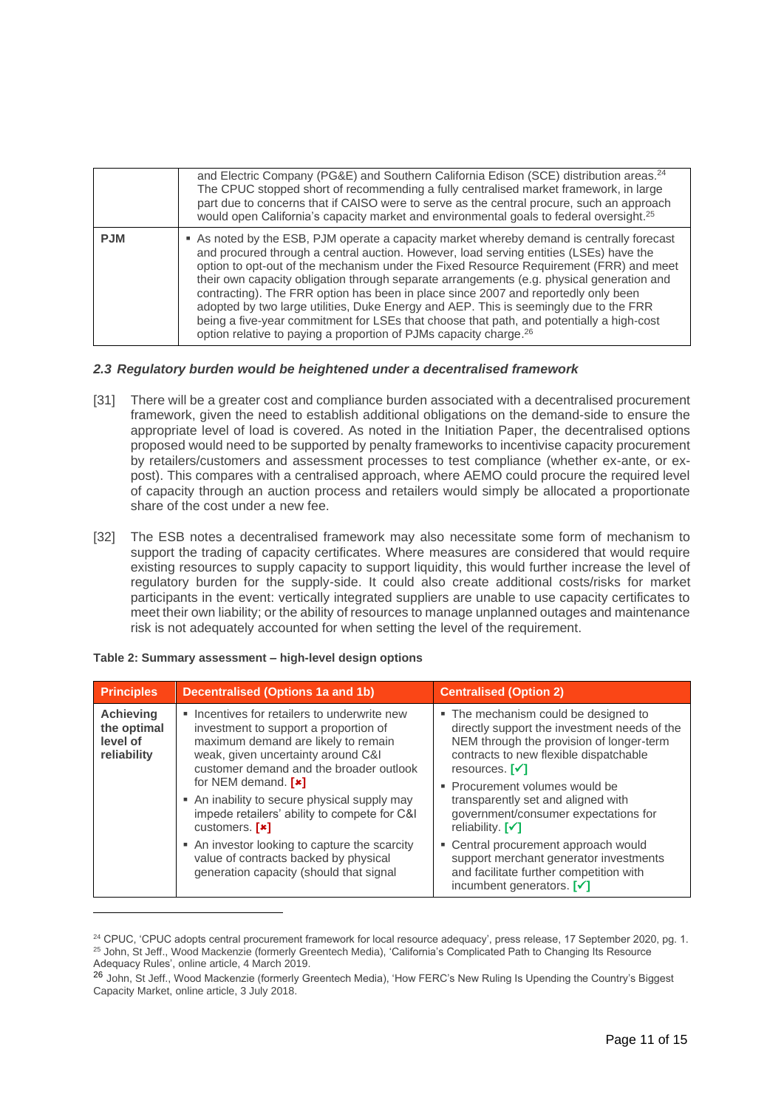|            | and Electric Company (PG&E) and Southern California Edison (SCE) distribution areas. <sup>24</sup><br>The CPUC stopped short of recommending a fully centralised market framework, in large<br>part due to concerns that if CAISO were to serve as the central procure, such an approach<br>would open California's capacity market and environmental goals to federal oversight. <sup>25</sup>                                                                                                                                                                                                                                                                                                                                      |
|------------|--------------------------------------------------------------------------------------------------------------------------------------------------------------------------------------------------------------------------------------------------------------------------------------------------------------------------------------------------------------------------------------------------------------------------------------------------------------------------------------------------------------------------------------------------------------------------------------------------------------------------------------------------------------------------------------------------------------------------------------|
| <b>PJM</b> | As noted by the ESB, PJM operate a capacity market whereby demand is centrally forecast<br>and procured through a central auction. However, load serving entities (LSEs) have the<br>option to opt-out of the mechanism under the Fixed Resource Requirement (FRR) and meet<br>their own capacity obligation through separate arrangements (e.g. physical generation and<br>contracting). The FRR option has been in place since 2007 and reportedly only been<br>adopted by two large utilities, Duke Energy and AEP. This is seemingly due to the FRR<br>being a five-year commitment for LSEs that choose that path, and potentially a high-cost<br>option relative to paying a proportion of PJMs capacity charge. <sup>26</sup> |

## *2.3 Regulatory burden would be heightened under a decentralised framework*

- [31] There will be a greater cost and compliance burden associated with a decentralised procurement framework, given the need to establish additional obligations on the demand-side to ensure the appropriate level of load is covered. As noted in the Initiation Paper, the decentralised options proposed would need to be supported by penalty frameworks to incentivise capacity procurement by retailers/customers and assessment processes to test compliance (whether ex-ante, or expost). This compares with a centralised approach, where AEMO could procure the required level of capacity through an auction process and retailers would simply be allocated a proportionate share of the cost under a new fee.
- [32] The ESB notes a decentralised framework may also necessitate some form of mechanism to support the trading of capacity certificates. Where measures are considered that would require existing resources to supply capacity to support liquidity, this would further increase the level of regulatory burden for the supply-side. It could also create additional costs/risks for market participants in the event: vertically integrated suppliers are unable to use capacity certificates to meet their own liability; or the ability of resources to manage unplanned outages and maintenance risk is not adequately accounted for when setting the level of the requirement.

| <b>Principles</b>                                                                                     | <b>Decentralised (Options 1a and 1b)</b>                                                                                                                                                                    | <b>Centralised (Option 2)</b>                                                                                                                                                                                                                         |
|-------------------------------------------------------------------------------------------------------|-------------------------------------------------------------------------------------------------------------------------------------------------------------------------------------------------------------|-------------------------------------------------------------------------------------------------------------------------------------------------------------------------------------------------------------------------------------------------------|
| <b>Achieving</b><br>the optimal<br>level of<br>reliability<br>for NEM demand. $[x]$<br>customers. [*] | Incentives for retailers to underwrite new<br>investment to support a proportion of<br>maximum demand are likely to remain<br>weak, given uncertainty around C&I<br>customer demand and the broader outlook | • The mechanism could be designed to<br>directly support the investment needs of the<br>NEM through the provision of longer-term<br>contracts to new flexible dispatchable<br>resources. $\lceil \checkmark \rceil$<br>• Procurement volumes would be |
|                                                                                                       | • An inability to secure physical supply may<br>impede retailers' ability to compete for C&I                                                                                                                | transparently set and aligned with<br>government/consumer expectations for<br>reliability. $\lceil \checkmark \rceil$                                                                                                                                 |
|                                                                                                       | • An investor looking to capture the scarcity<br>value of contracts backed by physical<br>generation capacity (should that signal                                                                           | • Central procurement approach would<br>support merchant generator investments<br>and facilitate further competition with<br>incumbent generators. $\lceil \checkmark \rceil$                                                                         |

|  |  |  |  |  | Table 2: Summary assessment - high-level design options |
|--|--|--|--|--|---------------------------------------------------------|
|--|--|--|--|--|---------------------------------------------------------|

<sup>&</sup>lt;sup>24</sup> CPUC, 'CPUC adopts central procurement framework for local resource adequacy', press release, 17 September 2020, pg. 1. <sup>25</sup> John, St Jeff., Wood Mackenzie (formerly Greentech Media), 'California's Complicated Path to Changing Its Resource Adequacy Rules', online article, 4 March 2019.

<sup>&</sup>lt;sup>26</sup> John, St Jeff., Wood Mackenzie (formerly Greentech Media), 'How FERC's New Ruling Is Upending the Country's Biggest Capacity Market, online article, 3 July 2018.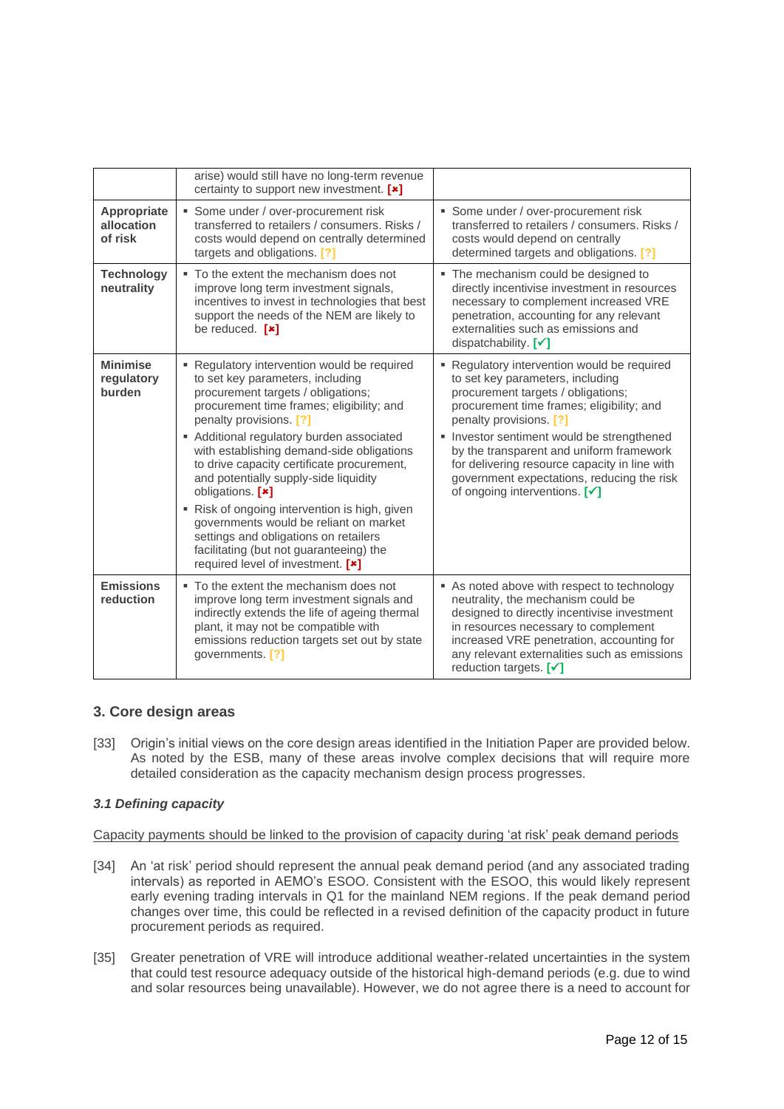|                                             | arise) would still have no long-term revenue<br>certainty to support new investment. [*]                                                                                                                                                                                                                                                                                                                                                                                                                                                                                                                           |                                                                                                                                                                                                                                                                                                                                                                                                                     |
|---------------------------------------------|--------------------------------------------------------------------------------------------------------------------------------------------------------------------------------------------------------------------------------------------------------------------------------------------------------------------------------------------------------------------------------------------------------------------------------------------------------------------------------------------------------------------------------------------------------------------------------------------------------------------|---------------------------------------------------------------------------------------------------------------------------------------------------------------------------------------------------------------------------------------------------------------------------------------------------------------------------------------------------------------------------------------------------------------------|
| <b>Appropriate</b><br>allocation<br>of risk | • Some under / over-procurement risk<br>transferred to retailers / consumers. Risks /<br>costs would depend on centrally determined<br>targets and obligations. [?]                                                                                                                                                                                                                                                                                                                                                                                                                                                | Some under / over-procurement risk<br>transferred to retailers / consumers. Risks /<br>costs would depend on centrally<br>determined targets and obligations. [?]                                                                                                                                                                                                                                                   |
| <b>Technology</b><br>neutrality             | • To the extent the mechanism does not<br>improve long term investment signals,<br>incentives to invest in technologies that best<br>support the needs of the NEM are likely to<br>be reduced. $[\cdot]$                                                                                                                                                                                                                                                                                                                                                                                                           | The mechanism could be designed to<br>٠<br>directly incentivise investment in resources<br>necessary to complement increased VRE<br>penetration, accounting for any relevant<br>externalities such as emissions and<br>dispatchability. $[\checkmark]$                                                                                                                                                              |
| <b>Minimise</b><br>regulatory<br>burden     | • Regulatory intervention would be required<br>to set key parameters, including<br>procurement targets / obligations;<br>procurement time frames; eligibility; and<br>penalty provisions. [?]<br>Additional regulatory burden associated<br>with establishing demand-side obligations<br>to drive capacity certificate procurement,<br>and potentially supply-side liquidity<br>obligations. [*]<br>Risk of ongoing intervention is high, given<br>governments would be reliant on market<br>settings and obligations on retailers<br>facilitating (but not guaranteeing) the<br>required level of investment. [*] | Regulatory intervention would be required<br>to set key parameters, including<br>procurement targets / obligations;<br>procurement time frames; eligibility; and<br>penalty provisions. [?]<br>Investor sentiment would be strengthened<br>by the transparent and uniform framework<br>for delivering resource capacity in line with<br>government expectations, reducing the risk<br>of ongoing interventions. [v] |
| <b>Emissions</b><br>reduction               | • To the extent the mechanism does not<br>improve long term investment signals and<br>indirectly extends the life of ageing thermal<br>plant, it may not be compatible with<br>emissions reduction targets set out by state<br>governments. [?]                                                                                                                                                                                                                                                                                                                                                                    | As noted above with respect to technology<br>neutrality, the mechanism could be<br>designed to directly incentivise investment<br>in resources necessary to complement<br>increased VRE penetration, accounting for<br>any relevant externalities such as emissions<br>reduction targets. $\lceil \checkmark \rceil$                                                                                                |

## **3. Core design areas**

[33] Origin's initial views on the core design areas identified in the Initiation Paper are provided below. As noted by the ESB, many of these areas involve complex decisions that will require more detailed consideration as the capacity mechanism design process progresses.

## *3.1 Defining capacity*

Capacity payments should be linked to the provision of capacity during 'at risk' peak demand periods

- [34] An 'at risk' period should represent the annual peak demand period (and any associated trading intervals) as reported in AEMO's ESOO. Consistent with the ESOO, this would likely represent early evening trading intervals in Q1 for the mainland NEM regions. If the peak demand period changes over time, this could be reflected in a revised definition of the capacity product in future procurement periods as required.
- [35] Greater penetration of VRE will introduce additional weather-related uncertainties in the system that could test resource adequacy outside of the historical high-demand periods (e.g. due to wind and solar resources being unavailable). However, we do not agree there is a need to account for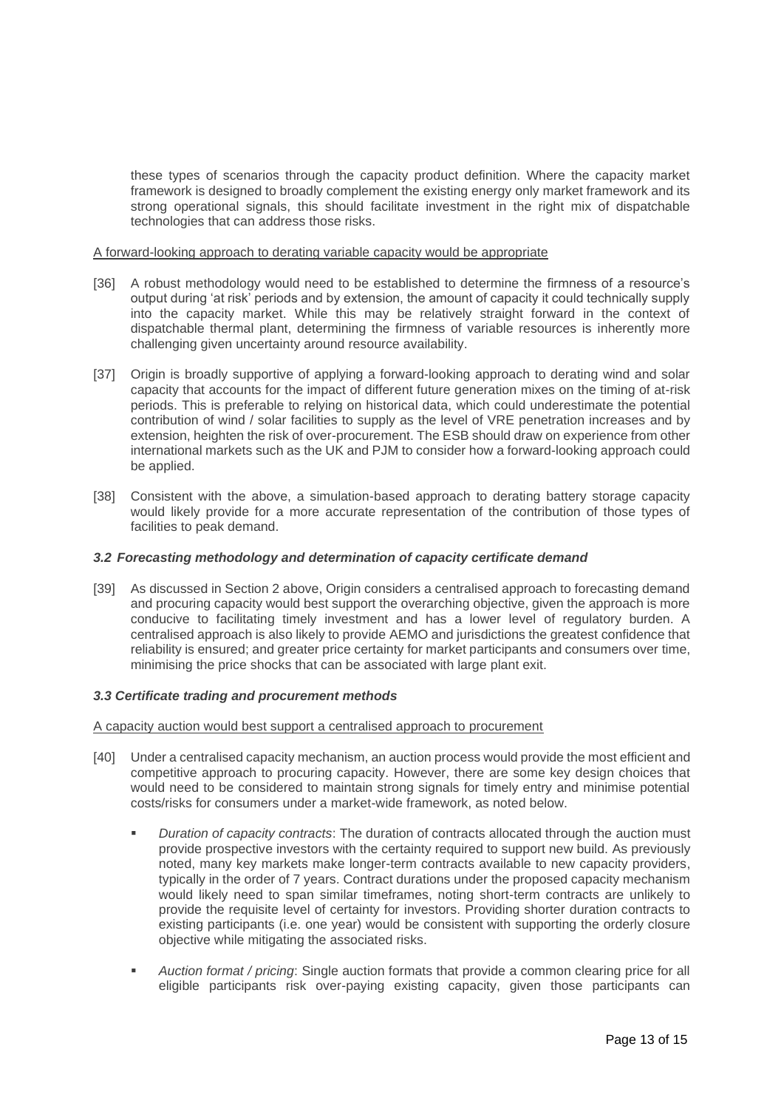these types of scenarios through the capacity product definition. Where the capacity market framework is designed to broadly complement the existing energy only market framework and its strong operational signals, this should facilitate investment in the right mix of dispatchable technologies that can address those risks.

A forward-looking approach to derating variable capacity would be appropriate

- [36] A robust methodology would need to be established to determine the firmness of a resource's output during 'at risk' periods and by extension, the amount of capacity it could technically supply into the capacity market. While this may be relatively straight forward in the context of dispatchable thermal plant, determining the firmness of variable resources is inherently more challenging given uncertainty around resource availability.
- [37] Origin is broadly supportive of applying a forward-looking approach to derating wind and solar capacity that accounts for the impact of different future generation mixes on the timing of at-risk periods. This is preferable to relying on historical data, which could underestimate the potential contribution of wind / solar facilities to supply as the level of VRE penetration increases and by extension, heighten the risk of over-procurement. The ESB should draw on experience from other international markets such as the UK and PJM to consider how a forward-looking approach could be applied.
- [38] Consistent with the above, a simulation-based approach to derating battery storage capacity would likely provide for a more accurate representation of the contribution of those types of facilities to peak demand.

## *3.2 Forecasting methodology and determination of capacity certificate demand*

[39] As discussed in Section 2 above, Origin considers a centralised approach to forecasting demand and procuring capacity would best support the overarching objective, given the approach is more conducive to facilitating timely investment and has a lower level of regulatory burden. A centralised approach is also likely to provide AEMO and jurisdictions the greatest confidence that reliability is ensured; and greater price certainty for market participants and consumers over time, minimising the price shocks that can be associated with large plant exit.

### *3.3 Certificate trading and procurement methods*

A capacity auction would best support a centralised approach to procurement

- [40] Under a centralised capacity mechanism, an auction process would provide the most efficient and competitive approach to procuring capacity. However, there are some key design choices that would need to be considered to maintain strong signals for timely entry and minimise potential costs/risks for consumers under a market-wide framework, as noted below.
	- *Duration of capacity contracts:* The duration of contracts allocated through the auction must provide prospective investors with the certainty required to support new build. As previously noted, many key markets make longer-term contracts available to new capacity providers, typically in the order of 7 years. Contract durations under the proposed capacity mechanism would likely need to span similar timeframes, noting short-term contracts are unlikely to provide the requisite level of certainty for investors. Providing shorter duration contracts to existing participants (i.e. one year) would be consistent with supporting the orderly closure objective while mitigating the associated risks.
	- *Auction format / pricing*: Single auction formats that provide a common clearing price for all eligible participants risk over-paying existing capacity, given those participants can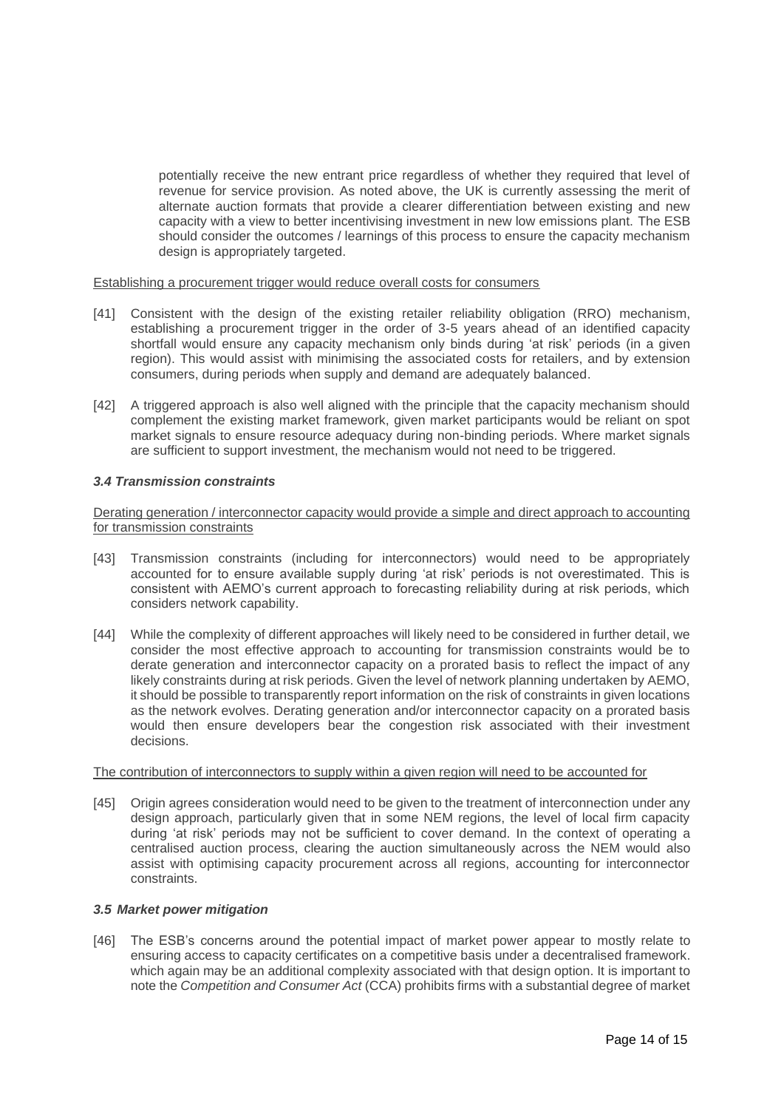potentially receive the new entrant price regardless of whether they required that level of revenue for service provision. As noted above, the UK is currently assessing the merit of alternate auction formats that provide a clearer differentiation between existing and new capacity with a view to better incentivising investment in new low emissions plant. The ESB should consider the outcomes / learnings of this process to ensure the capacity mechanism design is appropriately targeted.

#### Establishing a procurement trigger would reduce overall costs for consumers

- [41] Consistent with the design of the existing retailer reliability obligation (RRO) mechanism, establishing a procurement trigger in the order of 3-5 years ahead of an identified capacity shortfall would ensure any capacity mechanism only binds during 'at risk' periods (in a given region). This would assist with minimising the associated costs for retailers, and by extension consumers, during periods when supply and demand are adequately balanced.
- [42] A triggered approach is also well aligned with the principle that the capacity mechanism should complement the existing market framework, given market participants would be reliant on spot market signals to ensure resource adequacy during non-binding periods. Where market signals are sufficient to support investment, the mechanism would not need to be triggered.

### *3.4 Transmission constraints*

Derating generation / interconnector capacity would provide a simple and direct approach to accounting for transmission constraints

- [43] Transmission constraints (including for interconnectors) would need to be appropriately accounted for to ensure available supply during 'at risk' periods is not overestimated. This is consistent with AEMO's current approach to forecasting reliability during at risk periods, which considers network capability.
- [44] While the complexity of different approaches will likely need to be considered in further detail, we consider the most effective approach to accounting for transmission constraints would be to derate generation and interconnector capacity on a prorated basis to reflect the impact of any likely constraints during at risk periods. Given the level of network planning undertaken by AEMO, it should be possible to transparently report information on the risk of constraints in given locations as the network evolves. Derating generation and/or interconnector capacity on a prorated basis would then ensure developers bear the congestion risk associated with their investment decisions.

### The contribution of interconnectors to supply within a given region will need to be accounted for

[45] Origin agrees consideration would need to be given to the treatment of interconnection under any design approach, particularly given that in some NEM regions, the level of local firm capacity during 'at risk' periods may not be sufficient to cover demand. In the context of operating a centralised auction process, clearing the auction simultaneously across the NEM would also assist with optimising capacity procurement across all regions, accounting for interconnector constraints.

### *3.5 Market power mitigation*

[46] The ESB's concerns around the potential impact of market power appear to mostly relate to ensuring access to capacity certificates on a competitive basis under a decentralised framework. which again may be an additional complexity associated with that design option. It is important to note the *Competition and Consumer Act* (CCA) prohibits firms with a substantial degree of market